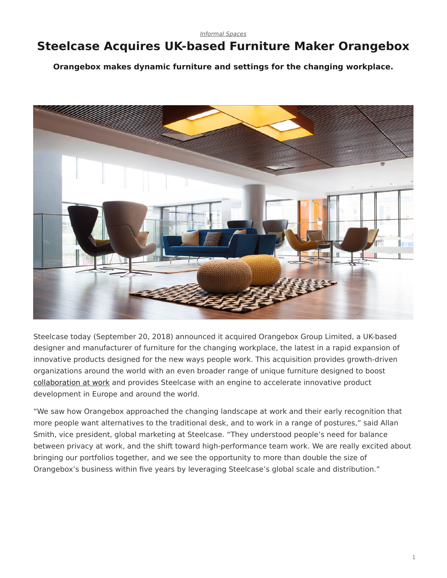## <span id="page-0-0"></span>**Steelcase Acquires UK-based Furniture Maker Orangebox**

**Orangebox makes dynamic furniture and settings for the changing workplace.**



Steelcase today (September 20, 2018) announced it acquired Orangebox Group Limited, a UK-based designer and manufacturer of furniture for the changing workplace, the latest in a rapid expansion of innovative products designed for the new ways people work. This acquisition provides growth-driven organizations around the world with an even broader range of unique furniture designed to boost [collaboration at work](https://www.steelcase.com/research/articles/topics/collaboration-privacy/finding-balance-improving-collaboration-rethinking-privacy/) and provides Steelcase with an engine to accelerate innovative product development in Europe and around the world.

"We saw how Orangebox approached the changing landscape at work and their early recognition that more people want alternatives to the traditional desk, and to work in a range of postures," said Allan Smith, vice president, global marketing at Steelcase. "They understood people's need for balance between privacy at work, and the shift toward high-performance team work. We are really excited about bringing our portfolios together, and we see the opportunity to more than double the size of Orangebox's business within five years by leveraging Steelcase's global scale and distribution."